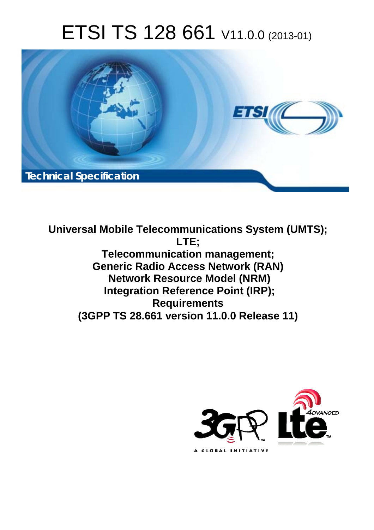# ETSI TS 128 661 V11.0.0 (2013-01)



**Universal Mobile Telecommunications System (UMTS); LTE; Telecommunication management; Generic Radio Access Network (RAN) Network Resource Model (NRM) Integration Reference Point (IRP); Requirements (3GPP TS 28.661 version 11.0.0 Release 11)** 

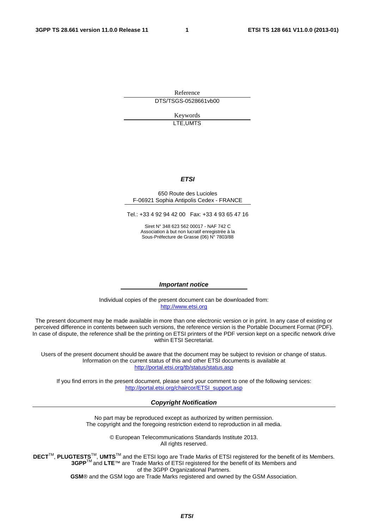Reference DTS/TSGS-0528661vb00

> Keywords LTE,UMTS

#### *ETSI*

#### 650 Route des Lucioles F-06921 Sophia Antipolis Cedex - FRANCE

Tel.: +33 4 92 94 42 00 Fax: +33 4 93 65 47 16

Siret N° 348 623 562 00017 - NAF 742 C Association à but non lucratif enregistrée à la Sous-Préfecture de Grasse (06) N° 7803/88

#### *Important notice*

Individual copies of the present document can be downloaded from: [http://www.etsi.org](http://www.etsi.org/)

The present document may be made available in more than one electronic version or in print. In any case of existing or perceived difference in contents between such versions, the reference version is the Portable Document Format (PDF). In case of dispute, the reference shall be the printing on ETSI printers of the PDF version kept on a specific network drive within ETSI Secretariat.

Users of the present document should be aware that the document may be subject to revision or change of status. Information on the current status of this and other ETSI documents is available at <http://portal.etsi.org/tb/status/status.asp>

If you find errors in the present document, please send your comment to one of the following services: [http://portal.etsi.org/chaircor/ETSI\\_support.asp](http://portal.etsi.org/chaircor/ETSI_support.asp)

#### *Copyright Notification*

No part may be reproduced except as authorized by written permission. The copyright and the foregoing restriction extend to reproduction in all media.

> © European Telecommunications Standards Institute 2013. All rights reserved.

DECT<sup>™</sup>, PLUGTESTS<sup>™</sup>, UMTS<sup>™</sup> and the ETSI logo are Trade Marks of ETSI registered for the benefit of its Members. **3GPP**TM and **LTE**™ are Trade Marks of ETSI registered for the benefit of its Members and of the 3GPP Organizational Partners.

**GSM**® and the GSM logo are Trade Marks registered and owned by the GSM Association.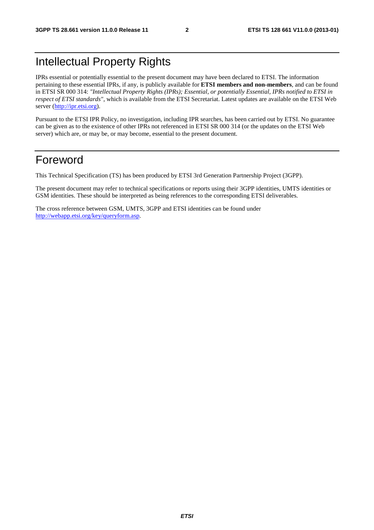## Intellectual Property Rights

IPRs essential or potentially essential to the present document may have been declared to ETSI. The information pertaining to these essential IPRs, if any, is publicly available for **ETSI members and non-members**, and can be found in ETSI SR 000 314: *"Intellectual Property Rights (IPRs); Essential, or potentially Essential, IPRs notified to ETSI in respect of ETSI standards"*, which is available from the ETSI Secretariat. Latest updates are available on the ETSI Web server ([http://ipr.etsi.org\)](http://webapp.etsi.org/IPR/home.asp).

Pursuant to the ETSI IPR Policy, no investigation, including IPR searches, has been carried out by ETSI. No guarantee can be given as to the existence of other IPRs not referenced in ETSI SR 000 314 (or the updates on the ETSI Web server) which are, or may be, or may become, essential to the present document.

#### Foreword

This Technical Specification (TS) has been produced by ETSI 3rd Generation Partnership Project (3GPP).

The present document may refer to technical specifications or reports using their 3GPP identities, UMTS identities or GSM identities. These should be interpreted as being references to the corresponding ETSI deliverables.

The cross reference between GSM, UMTS, 3GPP and ETSI identities can be found under [http://webapp.etsi.org/key/queryform.asp.](http://webapp.etsi.org/key/queryform.asp)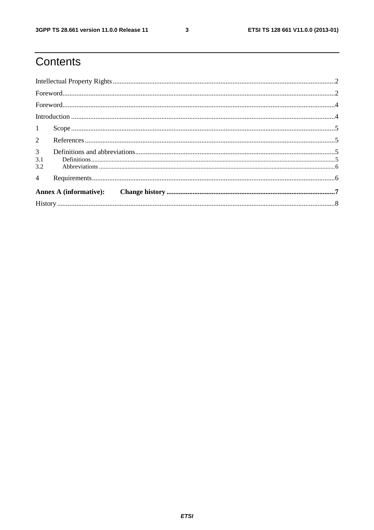$\mathbf{3}$ 

# Contents

| 1                            |  |  |  |  |
|------------------------------|--|--|--|--|
|                              |  |  |  |  |
| 3 <sup>7</sup><br>3.1<br>3.2 |  |  |  |  |
| $\overline{4}$               |  |  |  |  |
|                              |  |  |  |  |
|                              |  |  |  |  |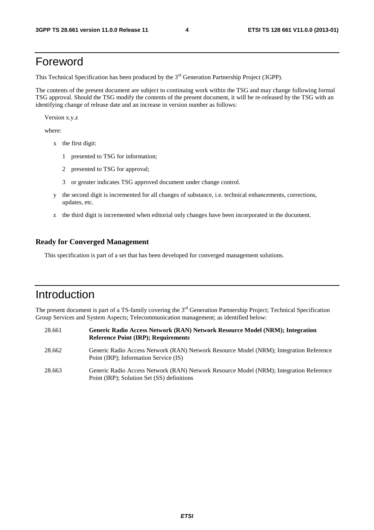### Foreword

This Technical Specification has been produced by the 3<sup>rd</sup> Generation Partnership Project (3GPP).

The contents of the present document are subject to continuing work within the TSG and may change following formal TSG approval. Should the TSG modify the contents of the present document, it will be re-released by the TSG with an identifying change of release date and an increase in version number as follows:

Version x.y.z

where:

- x the first digit:
	- 1 presented to TSG for information;
	- 2 presented to TSG for approval;
	- 3 or greater indicates TSG approved document under change control.
- y the second digit is incremented for all changes of substance, i.e. technical enhancements, corrections, updates, etc.
- z the third digit is incremented when editorial only changes have been incorporated in the document.

#### **Ready for Converged Management**

This specification is part of a set that has been developed for converged management solutions.

### Introduction

The present document is part of a TS-family covering the  $3<sup>rd</sup>$  Generation Partnership Project; Technical Specification Group Services and System Aspects; Telecommunication management; as identified below:

| 28.661 | Generic Radio Access Network (RAN) Network Resource Model (NRM); Integration<br><b>Reference Point (IRP); Requirements</b>           |
|--------|--------------------------------------------------------------------------------------------------------------------------------------|
| 28.662 | Generic Radio Access Network (RAN) Network Resource Model (NRM); Integration Reference<br>Point (IRP); Information Service (IS)      |
| 28.663 | Generic Radio Access Network (RAN) Network Resource Model (NRM); Integration Reference<br>Point (IRP); Solution Set (SS) definitions |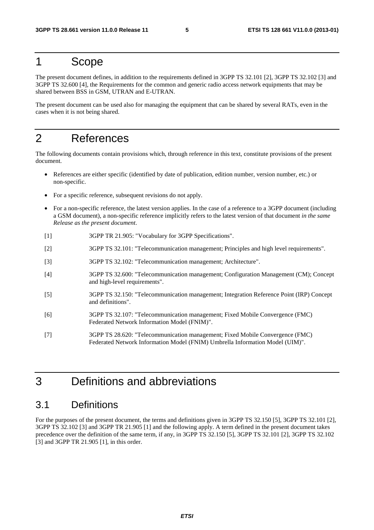#### 1 Scope

The present document defines, in addition to the requirements defined in 3GPP TS 32.101 [2], 3GPP TS 32.102 [3] and 3GPP TS 32.600 [4], the Requirements for the common and generic radio access network equipments that may be shared between BSS in GSM, UTRAN and E-UTRAN.

The present document can be used also for managing the equipment that can be shared by several RATs, even in the cases when it is not being shared.

#### 2 References

The following documents contain provisions which, through reference in this text, constitute provisions of the present document.

- References are either specific (identified by date of publication, edition number, version number, etc.) or non-specific.
- For a specific reference, subsequent revisions do not apply.
- For a non-specific reference, the latest version applies. In the case of a reference to a 3GPP document (including a GSM document), a non-specific reference implicitly refers to the latest version of that document *in the same Release as the present document*.
- [1] 3GPP TR 21.905: "Vocabulary for 3GPP Specifications".
- [2] 3GPP TS 32.101: "Telecommunication management; Principles and high level requirements".
- [3] 3GPP TS 32.102: "Telecommunication management; Architecture".
- [4] 3GPP TS 32.600: "Telecommunication management; Configuration Management (CM); Concept and high-level requirements".
- [5] 3GPP TS 32.150: "Telecommunication management; Integration Reference Point (IRP) Concept and definitions".
- [6] 3GPP TS 32.107: "Telecommunication management; Fixed Mobile Convergence (FMC) Federated Network Information Model (FNIM)".
- [7] 3GPP TS 28.620: "Telecommunication management; Fixed Mobile Convergence (FMC) Federated Network Information Model (FNIM) Umbrella Information Model (UIM)".

### 3 Definitions and abbreviations

#### 3.1 Definitions

For the purposes of the present document, the terms and definitions given in 3GPP TS 32.150 [5], 3GPP TS 32.101 [2], 3GPP TS 32.102 [3] and 3GPP TR 21.905 [1] and the following apply. A term defined in the present document takes precedence over the definition of the same term, if any, in 3GPP TS 32.150 [5], 3GPP TS 32.101 [2], 3GPP TS 32.102 [3] and 3GPP TR 21.905 [1], in this order.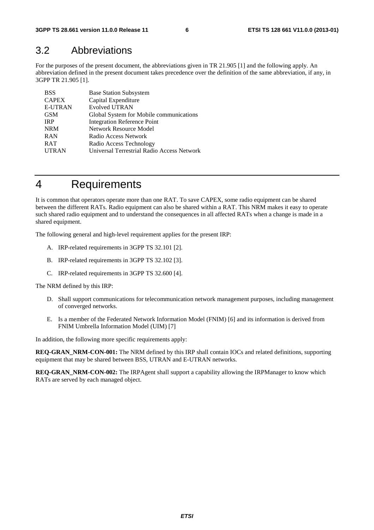#### 3.2 Abbreviations

For the purposes of the present document, the abbreviations given in TR 21.905 [1] and the following apply. An abbreviation defined in the present document takes precedence over the definition of the same abbreviation, if any, in 3GPP TR 21.905 [1].

| <b>BSS</b>     | <b>Base Station Subsystem</b>              |
|----------------|--------------------------------------------|
| <b>CAPEX</b>   | Capital Expenditure                        |
| <b>E-UTRAN</b> | <b>Evolved UTRAN</b>                       |
| <b>GSM</b>     | Global System for Mobile communications    |
| <b>IRP</b>     | <b>Integration Reference Point</b>         |
| <b>NRM</b>     | Network Resource Model                     |
| <b>RAN</b>     | Radio Access Network                       |
| <b>RAT</b>     | Radio Access Technology                    |
| <b>UTRAN</b>   | Universal Terrestrial Radio Access Network |

### 4 Requirements

It is common that operators operate more than one RAT. To save CAPEX, some radio equipment can be shared between the different RATs. Radio equipment can also be shared within a RAT. This NRM makes it easy to operate such shared radio equipment and to understand the consequences in all affected RATs when a change is made in a shared equipment.

The following general and high-level requirement applies for the present IRP:

- A. IRP-related requirements in 3GPP TS 32.101 [2].
- B. IRP-related requirements in 3GPP TS 32.102 [3].
- C. IRP-related requirements in 3GPP TS 32.600 [4].

The NRM defined by this IRP:

- D. Shall support communications for telecommunication network management purposes, including management of converged networks.
- E. Is a member of the Federated Network Information Model (FNIM) [6] and its information is derived from FNIM Umbrella Information Model (UIM) [7]

In addition, the following more specific requirements apply:

**REQ-GRAN\_NRM-CON-001:** The NRM defined by this IRP shall contain IOCs and related definitions, supporting equipment that may be shared between BSS, UTRAN and E-UTRAN networks.

**REQ-GRAN\_NRM-CON-002:** The IRPAgent shall support a capability allowing the IRPManager to know which RATs are served by each managed object.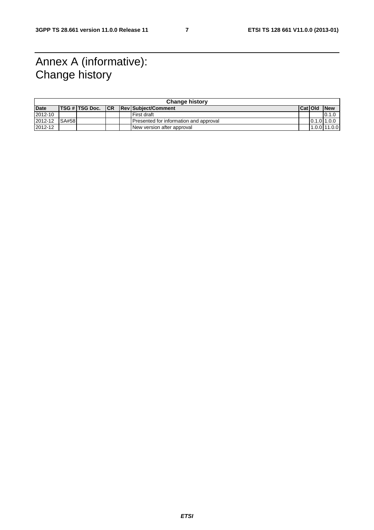### Annex A (informative): Change history

| <b>Change history</b> |       |                     |  |  |                                        |         |                |
|-----------------------|-------|---------------------|--|--|----------------------------------------|---------|----------------|
| <b>Date</b>           |       | TSG # TSG Doc.   CR |  |  | <b>Rev Subiect/Comment</b>             | Cat Old | <b>New</b>     |
| 2012-10               |       |                     |  |  | l First draft                          |         | 0.1.0          |
| 2012-12               | SA#58 |                     |  |  | Presented for information and approval |         | 0.1.011.0.0    |
| 2012-12               |       |                     |  |  | New version after approval             |         | $1.0.0$ 11.0.0 |